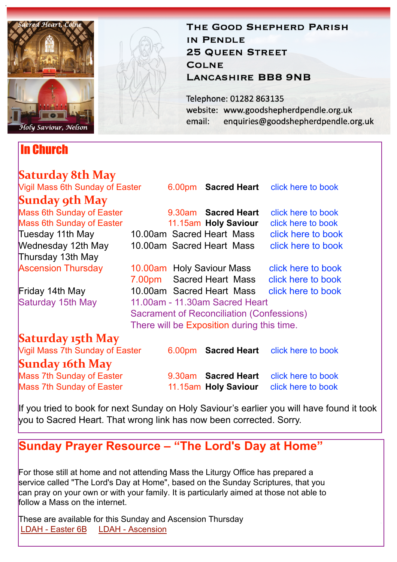

## In Church

## THE GOOD SHEPHERD PARISH IN PENDLE **25 QUEEN STREET COLNE LANCASHIRE BB8 9NB**

Telephone: 01282 863135 website: www.goodshepherdpendle.org.uk email: enquiries@goodshepherdpendle.org.uk

| Saturday 8th May                |                                            |  |                           |                                        |
|---------------------------------|--------------------------------------------|--|---------------------------|----------------------------------------|
| Vigil Mass 6th Sunday of Easter |                                            |  |                           | 6.00pm Sacred Heart click here to book |
| Sunday 9th May                  |                                            |  |                           |                                        |
| Mass 6th Sunday of Easter       |                                            |  | 9.30am Sacred Heart       | click here to book                     |
| Mass 6th Sunday of Easter       |                                            |  | 11.15am Holy Saviour      | click here to book                     |
| Tuesday 11th May                |                                            |  | 10.00am Sacred Heart Mass | click here to book                     |
| Wednesday 12th May              |                                            |  | 10.00am Sacred Heart Mass | click here to book                     |
| Thursday 13th May               |                                            |  |                           |                                        |
| <b>Ascension Thursday</b>       |                                            |  | 10.00am Holy Saviour Mass | click here to book                     |
|                                 | 7.00pm                                     |  | Sacred Heart Mass         | click here to book                     |
| Friday 14th May                 |                                            |  | 10.00am Sacred Heart Mass | click here to book                     |
| Saturday 15th May               | 11.00am - 11.30am Sacred Heart             |  |                           |                                        |
|                                 | Sacrament of Reconciliation (Confessions)  |  |                           |                                        |
|                                 | There will be Exposition during this time. |  |                           |                                        |
| Saturday 15th May               |                                            |  |                           |                                        |
| Vigil Mass 7th Sunday of Easter |                                            |  | 6.00pm Sacred Heart       | click here to book                     |
| <b>Sunday 16th May</b>          |                                            |  |                           |                                        |
| Mass 7th Sunday of Easter       |                                            |  | 9.30am Sacred Heart       | click here to book                     |
| Mass 7th Sunday of Easter       |                                            |  | 11.15am Holy Saviour      | click here to book                     |

If you tried to book for next Sunday on Holy Saviour's earlier you will have found it took you to Sacred Heart. That wrong link has now been corrected. Sorry.

**Sunday Prayer Resource – "The Lord's Day at Home"**

For those still at home and not attending Mass the Liturgy Office has prepared a service called "The Lord's Day at Home", based on the Sunday Scriptures, that you can pray on your own or with your family. It is particularly aimed at those not able to follow a Mass on the internet.

These are available for this Sunday and Ascension Thursday [LDAH - Easter](https://gbr01.safelinks.protection.outlook.com/?url=https://dioceseofsalford.us6.list-manage.com/track/click?u=76e219dab8653b775ba8aac4c&id=a28fb24d29&e=5ce69633f0&data=04%7C01%7Cpeter.wilkinson@dioceseofsalford.org.uk%7C7aa1ffd0b7d14a9b2e7908d90f9c07c8%7C699a61ae142a45a090c604b2f08de19b%7C0%7C0%7C637557987474902226%7CUnknown%7CTWFpbGZsb3d8eyJWIjoiMC4wLjAwMDAiLCJQIjoiV2luMzIiLCJBTiI6Ik1haWwiLCJXVCI6Mn0=%7C1000&sdata=lgSyWUs++CTOnB/wteuwPsF8EnSDt3twyIDPlaBWOzQ=&reserved=0%22%20%5Ct%20%22_blank) [6B](https://gbr01.safelinks.protection.outlook.com/?url=https%3A%2F%2Fdioceseofsalford.us6.list-manage.com%2Ftrack%2Fclick%3Fu%3D76e219dab8653b775ba8aac4c%26id%3D715da0af80%26e%3D5ce69633f0&data=04%7C01%7Cpeter.wilkinson%40dioceseofsalford.org.uk%7C7aa1ffd0b7d14a9b2e7908d90f9c07c8%7C699a61ae142a45a090c604b2f08de19b%7C0%7C0%7C637557987474902226%7CUnknown%7CTWFpbGZsb3d8eyJWIjoiMC4wLjAwMDAiLCJQIjoiV2luMzIiLCJBTiI6Ik1haWwiLCJXVCI6Mn0%3D%7C1000&sdata=EM%2BoJ6HG%2FChYD7EpiBrmoqE6atR0q6M%2BvoFv0sLV97Q%3D&reserved=0) [LDAH - Ascension](https://gbr01.safelinks.protection.outlook.com/?url=https://dioceseofsalford.us6.list-manage.com/track/click?u=76e219dab8653b775ba8aac4c&id=619020bf71&e=5ce69633f0&data=04%7C01%7Cpeter.wilkinson@dioceseofsalford.org.uk%7C7aa1ffd0b7d14a9b2e7908d90f9c07c8%7C699a61ae142a45a090c604b2f08de19b%7C0%7C0%7C637557987474892266%7CUnknown%7CTWFpbGZsb3d8eyJWIjoiMC4wLjAwMDAiLCJQIjoiV2luMzIiLCJBTiI6Ik1haWwiLCJXVCI6Mn0=%7C1000&sdata=vlMRZGb33qxg27nIseo7Rqa3A+5CBEOCVlXdezlvC+U=&reserved=0%22%20%5Ct%20%22_blank)